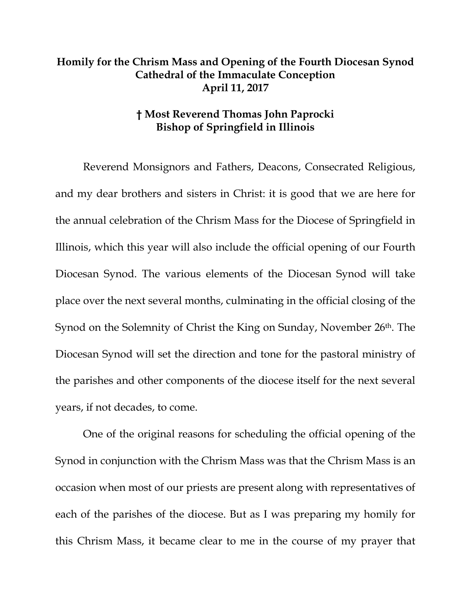## **Homily for the Chrism Mass and Opening of the Fourth Diocesan Synod Cathedral of the Immaculate Conception April 11, 2017**

## **† Most Reverend Thomas John Paprocki Bishop of Springfield in Illinois**

Reverend Monsignors and Fathers, Deacons, Consecrated Religious, and my dear brothers and sisters in Christ: it is good that we are here for the annual celebration of the Chrism Mass for the Diocese of Springfield in Illinois, which this year will also include the official opening of our Fourth Diocesan Synod. The various elements of the Diocesan Synod will take place over the next several months, culminating in the official closing of the Synod on the Solemnity of Christ the King on Sunday, November 26<sup>th</sup>. The Diocesan Synod will set the direction and tone for the pastoral ministry of the parishes and other components of the diocese itself for the next several years, if not decades, to come.

One of the original reasons for scheduling the official opening of the Synod in conjunction with the Chrism Mass was that the Chrism Mass is an occasion when most of our priests are present along with representatives of each of the parishes of the diocese. But as I was preparing my homily for this Chrism Mass, it became clear to me in the course of my prayer that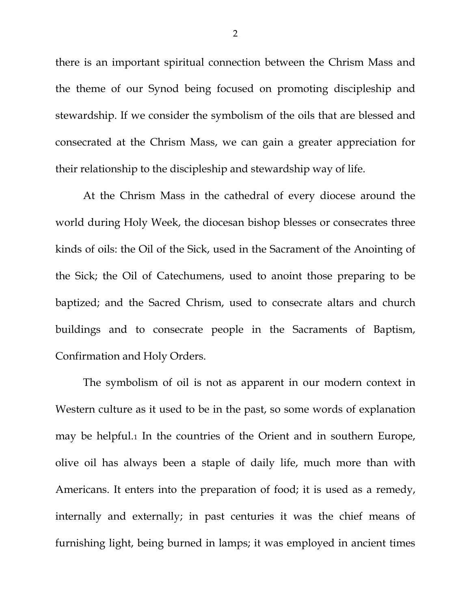there is an important spiritual connection between the Chrism Mass and the theme of our Synod being focused on promoting discipleship and stewardship. If we consider the symbolism of the oils that are blessed and consecrated at the Chrism Mass, we can gain a greater appreciation for their relationship to the discipleship and stewardship way of life.

At the Chrism Mass in the cathedral of every diocese around the world during Holy Week, the diocesan bishop blesses or consecrates three kinds of oils: the Oil of the Sick, used in the Sacrament of the Anointing of the Sick; the Oil of Catechumens, used to anoint those preparing to be baptized; and the Sacred Chrism, used to consecrate altars and church buildings and to consecrate people in the Sacraments of Baptism, Confirmation and Holy Orders.

The symbolism of oil is not as apparent in our modern context in Western culture as it used to be in the past, so some words of explanation may be helpful.[1](#page-2-0) In the countries of the Orient and in southern Europe, olive oil has always been a staple of daily life, much more than with Americans. It enters into the preparation of food; it is used as a remedy, internally and externally; in past centuries it was the chief means of furnishing light, being burned in lamps; it was employed in ancient times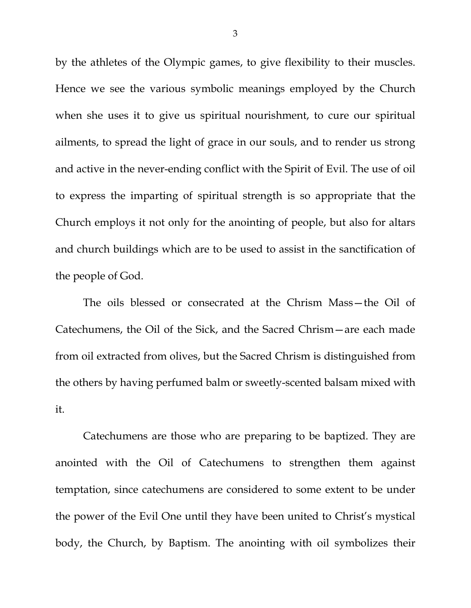by the athletes of the Olympic games, to give flexibility to their muscles. Hence we see the various symbolic meanings employed by the Church when she uses it to give us spiritual nourishment, to cure our spiritual ailments, to spread the light of grace in our souls, and to render us strong and active in the never-ending conflict with the Spirit of Evil. The use of oil to express the imparting of spiritual strength is so appropriate that the Church employs it not only for the anointing of people, but also for altars and church buildings which are to be used to assist in the sanctification of the people of God.

The oils blessed or consecrated at the Chrism Mass—the Oil of Catechumens, the Oil of the Sick, and the Sacred Chrism—are each made from oil extracted from olives, but the Sacred Chrism is distinguished from the others by having perfumed balm or sweetly-scented balsam mixed with it.

<span id="page-2-0"></span>Catechumens are those who are preparing to be baptized. They are anointed with the Oil of Catechumens to strengthen them against temptation, since catechumens are considered to some extent to be under the power of the Evil One until they have been united to Christ's mystical body, the Church, by Baptism. The anointing with oil symbolizes their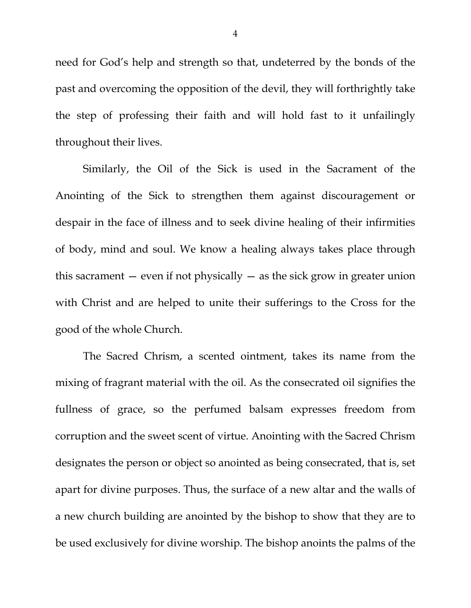need for God's help and strength so that, undeterred by the bonds of the past and overcoming the opposition of the devil, they will forthrightly take the step of professing their faith and will hold fast to it unfailingly throughout their lives.

Similarly, the Oil of the Sick is used in the Sacrament of the Anointing of the Sick to strengthen them against discouragement or despair in the face of illness and to seek divine healing of their infirmities of body, mind and soul. We know a healing always takes place through this sacrament  $-$  even if not physically  $-$  as the sick grow in greater union with Christ and are helped to unite their sufferings to the Cross for the good of the whole Church.

The Sacred Chrism, a scented ointment, takes its name from the mixing of fragrant material with the oil. As the consecrated oil signifies the fullness of grace, so the perfumed balsam expresses freedom from corruption and the sweet scent of virtue. Anointing with the Sacred Chrism designates the person or object so anointed as being consecrated, that is, set apart for divine purposes. Thus, the surface of a new altar and the walls of a new church building are anointed by the bishop to show that they are to be used exclusively for divine worship. The bishop anoints the palms of the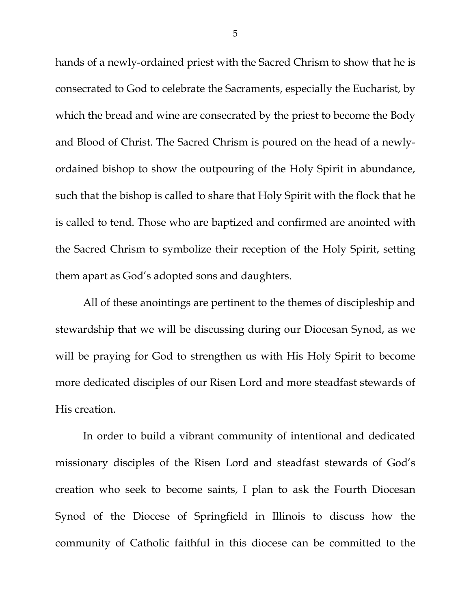hands of a newly-ordained priest with the Sacred Chrism to show that he is consecrated to God to celebrate the Sacraments, especially the Eucharist, by which the bread and wine are consecrated by the priest to become the Body and Blood of Christ. The Sacred Chrism is poured on the head of a newlyordained bishop to show the outpouring of the Holy Spirit in abundance, such that the bishop is called to share that Holy Spirit with the flock that he is called to tend. Those who are baptized and confirmed are anointed with the Sacred Chrism to symbolize their reception of the Holy Spirit, setting them apart as God's adopted sons and daughters.

All of these anointings are pertinent to the themes of discipleship and stewardship that we will be discussing during our Diocesan Synod, as we will be praying for God to strengthen us with His Holy Spirit to become more dedicated disciples of our Risen Lord and more steadfast stewards of His creation.

In order to build a vibrant community of intentional and dedicated missionary disciples of the Risen Lord and steadfast stewards of God's creation who seek to become saints, I plan to ask the Fourth Diocesan Synod of the Diocese of Springfield in Illinois to discuss how the community of Catholic faithful in this diocese can be committed to the

5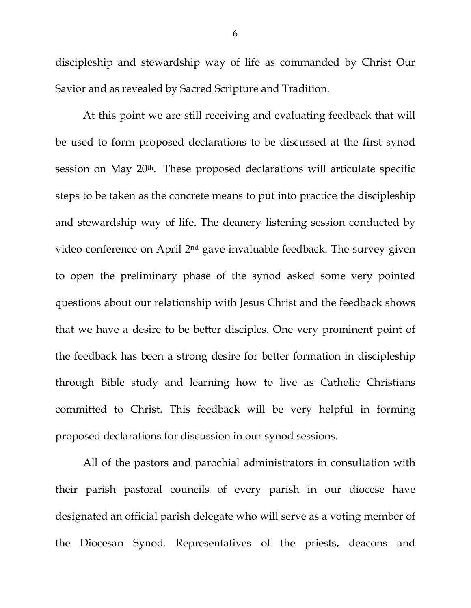discipleship and stewardship way of life as commanded by Christ Our Savior and as revealed by Sacred Scripture and Tradition.

At this point we are still receiving and evaluating feedback that will be used to form proposed declarations to be discussed at the first synod session on May 20th. These proposed declarations will articulate specific steps to be taken as the concrete means to put into practice the discipleship and stewardship way of life. The deanery listening session conducted by video conference on April 2nd gave invaluable feedback. The survey given to open the preliminary phase of the synod asked some very pointed questions about our relationship with Jesus Christ and the feedback shows that we have a desire to be better disciples. One very prominent point of the feedback has been a strong desire for better formation in discipleship through Bible study and learning how to live as Catholic Christians committed to Christ. This feedback will be very helpful in forming proposed declarations for discussion in our synod sessions.

All of the pastors and parochial administrators in consultation with their parish pastoral councils of every parish in our diocese have designated an official parish delegate who will serve as a voting member of the Diocesan Synod. Representatives of the priests, deacons and